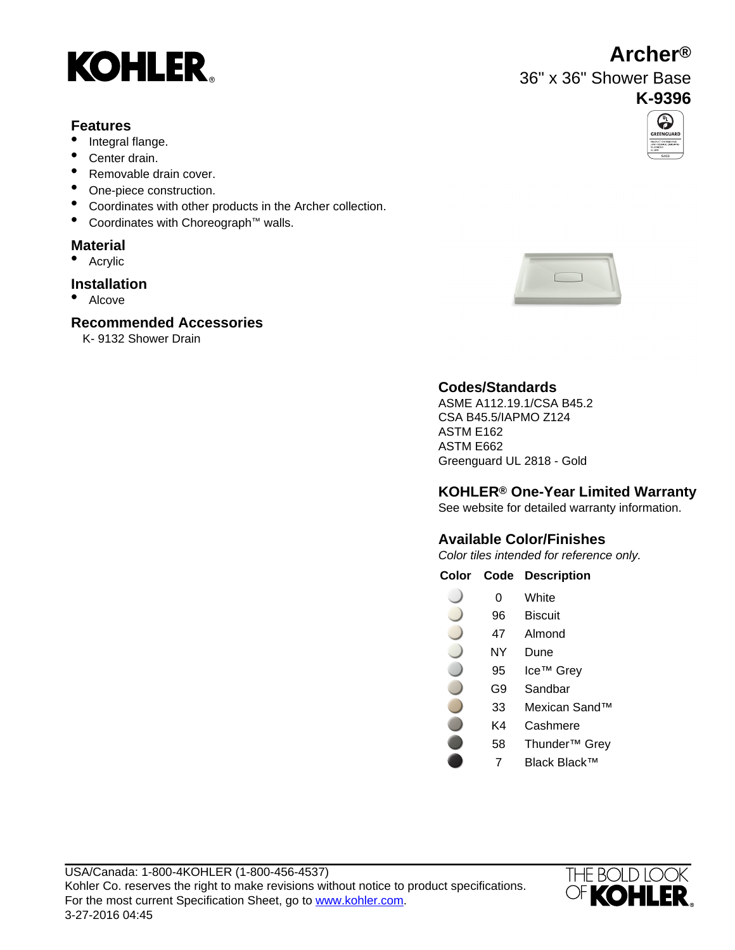

## **Features**

- Integral flange.
- Center drain.
- Removable drain cover.
- One-piece construction.
- Coordinates with other products in the Archer collection.
- Coordinates with Choreograph™ walls.

# **Material**

• Acrylic

# **Installation**

• Alcove

# **Recommended Accessories**

K- 9132 Shower Drain





# **Codes/Standards**

ASME A112.19.1/CSA B45.2 CSA B45.5/IAPMO Z124 ASTM E162 ASTM E662 Greenguard UL 2818 - Gold

# **KOHLER® One-Year Limited Warranty**

See website for detailed warranty information.

# **Available Color/Finishes**

Color tiles intended for reference only.

### **Color Code Description**

- 0 White
- 96 Biscuit
- 47 Almond
- NY Dune
- 95 Ice™ Grey
	- G9 Sandbar
	- 33 Mexican Sand™
		- K4 Cashmere
		- 58 Thunder™ Grey
			- 7 Black Black™



# **Archer®**

36" x 36" Shower Base

# **K-9396** $\overline{\bigcirc}$